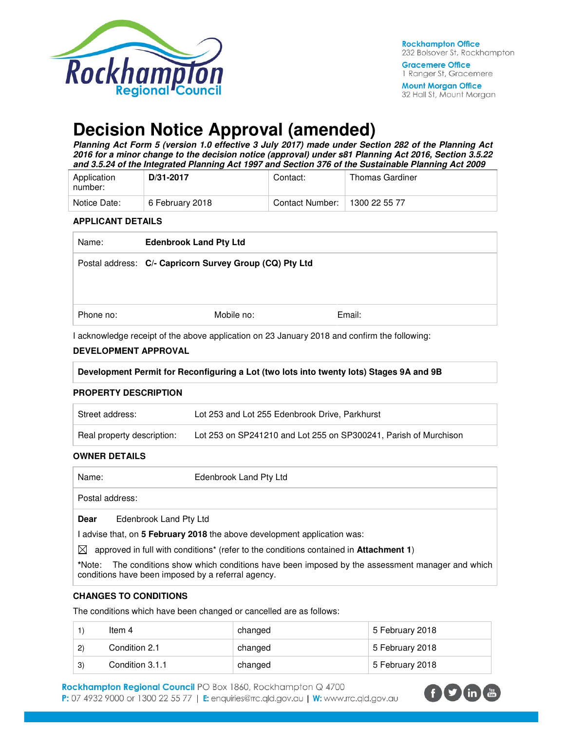

**Mount Morgan Office** 32 Hall St, Mount Morgan

# **Decision Notice Approval (amended)**

**Planning Act Form 5 (version 1.0 effective 3 July 2017) made under Section 282 of the Planning Act 2016 for a minor change to the decision notice (approval) under s81 Planning Act 2016, Section 3.5.22 and 3.5.24 of the Integrated Planning Act 1997 and Section 376 of the Sustainable Planning Act 2009** 

| Application<br>number: | D/31-2017       | Contact:        | <b>Thomas Gardiner</b> |
|------------------------|-----------------|-----------------|------------------------|
| Notice Date:           | 6 February 2018 | Contact Number: | 1300 22 55 77          |

#### **APPLICANT DETAILS**

| Name:     | <b>Edenbrook Land Pty Ltd</b>                           |        |
|-----------|---------------------------------------------------------|--------|
|           | Postal address: C/- Capricorn Survey Group (CQ) Pty Ltd |        |
|           |                                                         |        |
| Phone no: | Mobile no:                                              | Email: |

I acknowledge receipt of the above application on 23 January 2018 and confirm the following:

#### **DEVELOPMENT APPROVAL**

**Development Permit for Reconfiguring a Lot (two lots into twenty lots) Stages 9A and 9B** 

#### **PROPERTY DESCRIPTION**

| Street address:            | Lot 253 and Lot 255 Edenbrook Drive, Parkhurst                   |
|----------------------------|------------------------------------------------------------------|
| Real property description: | Lot 253 on SP241210 and Lot 255 on SP300241, Parish of Murchison |

#### **OWNER DETAILS**

| Name:                                                                                                         | Edenbrook Land Pty Ltd                                                                                                                           |  |
|---------------------------------------------------------------------------------------------------------------|--------------------------------------------------------------------------------------------------------------------------------------------------|--|
| Postal address:                                                                                               |                                                                                                                                                  |  |
| Dear                                                                                                          | Edenbrook Land Pty Ltd                                                                                                                           |  |
|                                                                                                               | advise that, on 5 February 2018 the above development application was:                                                                           |  |
| approved in full with conditions <sup>*</sup> (refer to the conditions contained in <b>Attachment 1)</b><br>⊠ |                                                                                                                                                  |  |
| *Note:                                                                                                        | The conditions show which conditions have been imposed by the assessment manager and which<br>conditions have been imposed by a referral agency. |  |

#### **CHANGES TO CONDITIONS**

The conditions which have been changed or cancelled are as follows:

|              | Item 4          | changed | 5 February 2018 |
|--------------|-----------------|---------|-----------------|
| $\mathbf{2}$ | Condition 2.1   | changed | 5 February 2018 |
| $\mathbf{3}$ | Condition 3.1.1 | changed | 5 February 2018 |

Rockhampton Regional Council PO Box 1860, Rockhampton Q 4700 P: 07 4932 9000 or 1300 22 55 77 | E: enquiries@rrc.qld.gov.au | W: www.rrc.qld.gov.au

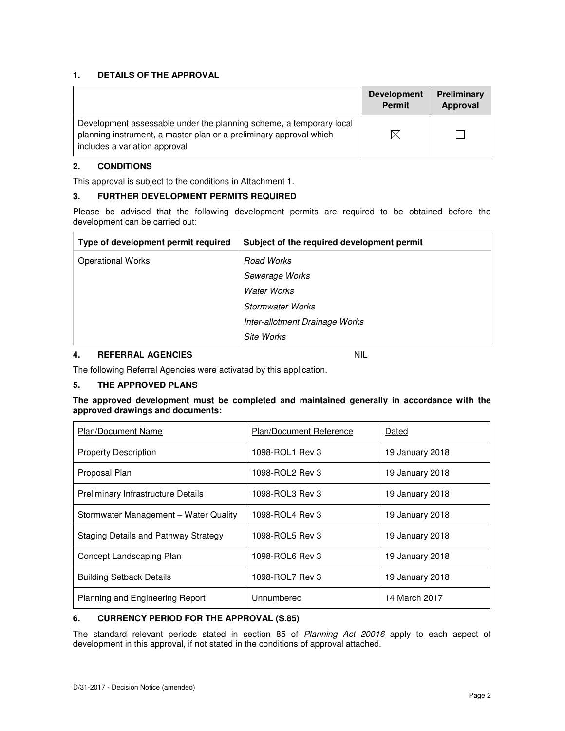### **1. DETAILS OF THE APPROVAL**

|                                                                                                                                                                            | <b>Development</b><br><b>Permit</b> | Preliminary<br>Approval |
|----------------------------------------------------------------------------------------------------------------------------------------------------------------------------|-------------------------------------|-------------------------|
| Development assessable under the planning scheme, a temporary local<br>planning instrument, a master plan or a preliminary approval which<br>includes a variation approval | $\times$                            |                         |

#### **2. CONDITIONS**

This approval is subject to the conditions in Attachment 1.

### **3. FURTHER DEVELOPMENT PERMITS REQUIRED**

Please be advised that the following development permits are required to be obtained before the development can be carried out:

| Type of development permit required | Subject of the required development permit |
|-------------------------------------|--------------------------------------------|
| <b>Operational Works</b>            | <b>Road Works</b>                          |
|                                     | Sewerage Works                             |
|                                     | Water Works                                |
|                                     | Stormwater Works                           |
|                                     | Inter-allotment Drainage Works             |
|                                     | Site Works                                 |

# **4. REFERRAL AGENCIES** NIL

The following Referral Agencies were activated by this application.

# **5. THE APPROVED PLANS**

#### **The approved development must be completed and maintained generally in accordance with the approved drawings and documents:**

| <b>Plan/Document Name</b>                 | <b>Plan/Document Reference</b> | Dated           |
|-------------------------------------------|--------------------------------|-----------------|
| <b>Property Description</b>               | 1098-ROL1 Rev 3                | 19 January 2018 |
| Proposal Plan                             | 1098-ROL2 Rev 3                | 19 January 2018 |
| <b>Preliminary Infrastructure Details</b> | 1098-ROL3 Rev 3                | 19 January 2018 |
| Stormwater Management - Water Quality     | 1098-ROL4 Rev 3                | 19 January 2018 |
| Staging Details and Pathway Strategy      | 1098-ROL5 Rev 3                | 19 January 2018 |
| Concept Landscaping Plan                  | 1098-ROL6 Rev 3                | 19 January 2018 |
| <b>Building Setback Details</b>           | 1098-ROL7 Rev 3                | 19 January 2018 |
| <b>Planning and Engineering Report</b>    | Unnumbered                     | 14 March 2017   |

# **6. CURRENCY PERIOD FOR THE APPROVAL (S.85)**

The standard relevant periods stated in section 85 of Planning Act 20016 apply to each aspect of development in this approval, if not stated in the conditions of approval attached.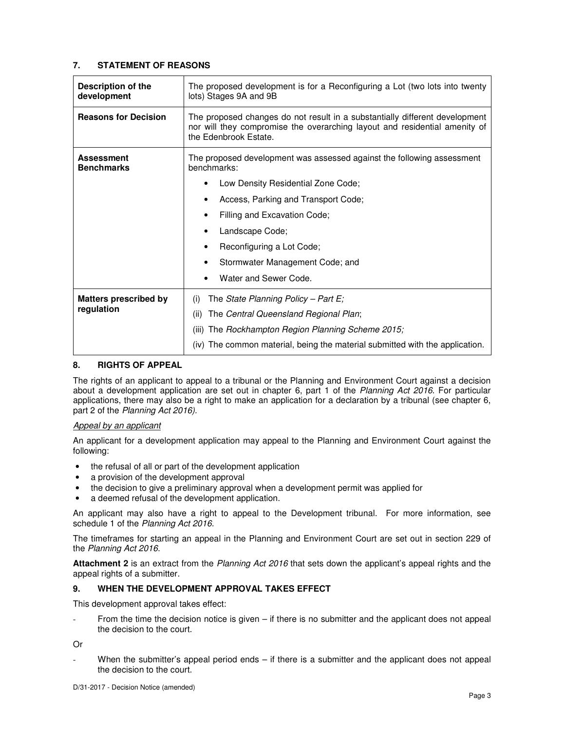#### **7. STATEMENT OF REASONS**

| Description of the<br>development      | The proposed development is for a Reconfiguring a Lot (two lots into twenty<br>lots) Stages 9A and 9B                                                                              |  |
|----------------------------------------|------------------------------------------------------------------------------------------------------------------------------------------------------------------------------------|--|
| <b>Reasons for Decision</b>            | The proposed changes do not result in a substantially different development<br>nor will they compromise the overarching layout and residential amenity of<br>the Edenbrook Estate. |  |
| <b>Assessment</b><br><b>Benchmarks</b> | The proposed development was assessed against the following assessment<br>benchmarks:                                                                                              |  |
|                                        | Low Density Residential Zone Code;                                                                                                                                                 |  |
|                                        | Access, Parking and Transport Code;                                                                                                                                                |  |
|                                        | Filling and Excavation Code;                                                                                                                                                       |  |
|                                        | Landscape Code;                                                                                                                                                                    |  |
|                                        | Reconfiguring a Lot Code;<br>٠                                                                                                                                                     |  |
|                                        | Stormwater Management Code; and                                                                                                                                                    |  |
|                                        | Water and Sewer Code.                                                                                                                                                              |  |
| <b>Matters prescribed by</b>           | The State Planning Policy – Part E;<br>(i)                                                                                                                                         |  |
| regulation                             | The Central Queensland Regional Plan;<br>(ii)                                                                                                                                      |  |
|                                        | The Rockhampton Region Planning Scheme 2015;<br>(iii)                                                                                                                              |  |
|                                        | (iv) The common material, being the material submitted with the application.                                                                                                       |  |

### **8. RIGHTS OF APPEAL**

The rights of an applicant to appeal to a tribunal or the Planning and Environment Court against a decision about a development application are set out in chapter 6, part 1 of the Planning Act 2016. For particular applications, there may also be a right to make an application for a declaration by a tribunal (see chapter 6, part 2 of the Planning Act 2016).

#### Appeal by an applicant

An applicant for a development application may appeal to the Planning and Environment Court against the following:

- the refusal of all or part of the development application
- a provision of the development approval
- the decision to give a preliminary approval when a development permit was applied for
- a deemed refusal of the development application.

An applicant may also have a right to appeal to the Development tribunal. For more information, see schedule 1 of the Planning Act 2016.

The timeframes for starting an appeal in the Planning and Environment Court are set out in section 229 of the Planning Act 2016.

**Attachment 2** is an extract from the Planning Act 2016 that sets down the applicant's appeal rights and the appeal rights of a submitter.

### **9. WHEN THE DEVELOPMENT APPROVAL TAKES EFFECT**

This development approval takes effect:

From the time the decision notice is given  $-$  if there is no submitter and the applicant does not appeal the decision to the court.

Or

When the submitter's appeal period ends  $-$  if there is a submitter and the applicant does not appeal the decision to the court.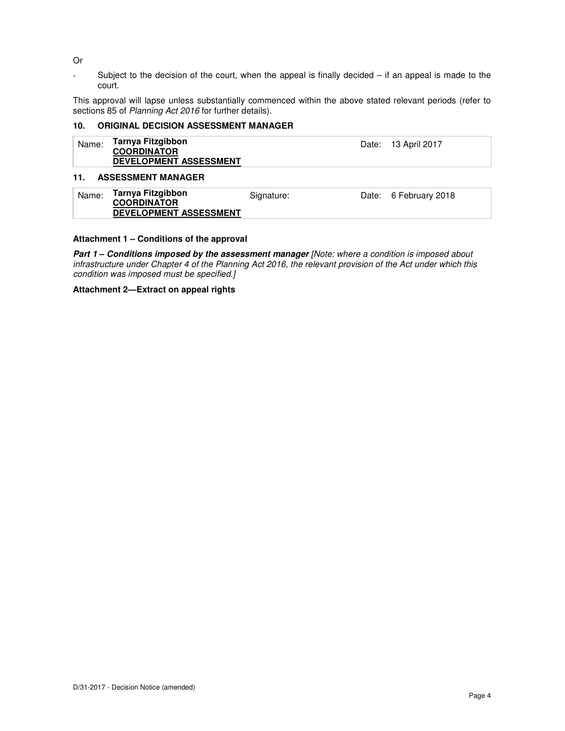Or

- Subject to the decision of the court, when the appeal is finally decided – if an appeal is made to the court.

This approval will lapse unless substantially commenced within the above stated relevant periods (refer to sections 85 of Planning Act 2016 for further details).

#### **10. ORIGINAL DECISION ASSESSMENT MANAGER**

| Name: | Tarnya Fitzgibbon<br><b>COORDINATOR</b> | Date: 13 April 2017 |
|-------|-----------------------------------------|---------------------|
|       | <b>DEVELOPMENT ASSESSMENT</b>           |                     |

#### **11. ASSESSMENT MANAGER**

| Tarnya Fitzgibbon<br>Name:<br>Date: 6 February 2018<br>Signature:<br><b>COORDINATOR</b><br><b>DEVELOPMENT ASSESSMENT</b> |  |
|--------------------------------------------------------------------------------------------------------------------------|--|
|--------------------------------------------------------------------------------------------------------------------------|--|

#### **Attachment 1 – Conditions of the approval**

**Part 1 – Conditions imposed by the assessment manager** [Note: where a condition is imposed about infrastructure under Chapter 4 of the Planning Act 2016, the relevant provision of the Act under which this condition was imposed must be specified.]

**Attachment 2—Extract on appeal rights**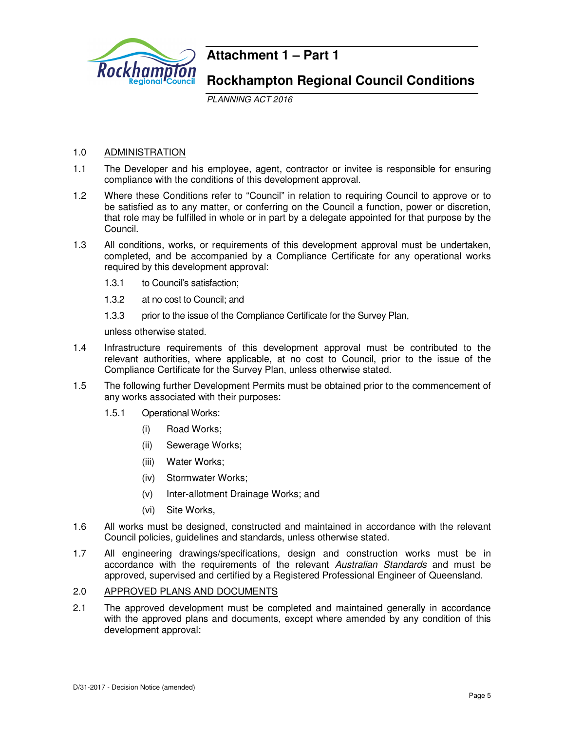

# **Attachment 1 – Part 1**

# **Rockhampton Regional Council Conditions**

PLANNING ACT 2016

# 1.0 ADMINISTRATION

- 1.1 The Developer and his employee, agent, contractor or invitee is responsible for ensuring compliance with the conditions of this development approval.
- 1.2 Where these Conditions refer to "Council" in relation to requiring Council to approve or to be satisfied as to any matter, or conferring on the Council a function, power or discretion, that role may be fulfilled in whole or in part by a delegate appointed for that purpose by the Council.
- 1.3 All conditions, works, or requirements of this development approval must be undertaken, completed, and be accompanied by a Compliance Certificate for any operational works required by this development approval:
	- 1.3.1 to Council's satisfaction;
	- 1.3.2 at no cost to Council; and
	- 1.3.3 prior to the issue of the Compliance Certificate for the Survey Plan,

unless otherwise stated.

- 1.4 Infrastructure requirements of this development approval must be contributed to the relevant authorities, where applicable, at no cost to Council, prior to the issue of the Compliance Certificate for the Survey Plan, unless otherwise stated.
- 1.5 The following further Development Permits must be obtained prior to the commencement of any works associated with their purposes:
	- 1.5.1 Operational Works:
		- (i) Road Works;
		- (ii) Sewerage Works;
		- (iii) Water Works;
		- (iv) Stormwater Works;
		- (v) Inter-allotment Drainage Works; and
		- (vi) Site Works,
- 1.6 All works must be designed, constructed and maintained in accordance with the relevant Council policies, guidelines and standards, unless otherwise stated.
- 1.7 All engineering drawings/specifications, design and construction works must be in accordance with the requirements of the relevant Australian Standards and must be approved, supervised and certified by a Registered Professional Engineer of Queensland.

#### 2.0 APPROVED PLANS AND DOCUMENTS

2.1 The approved development must be completed and maintained generally in accordance with the approved plans and documents, except where amended by any condition of this development approval: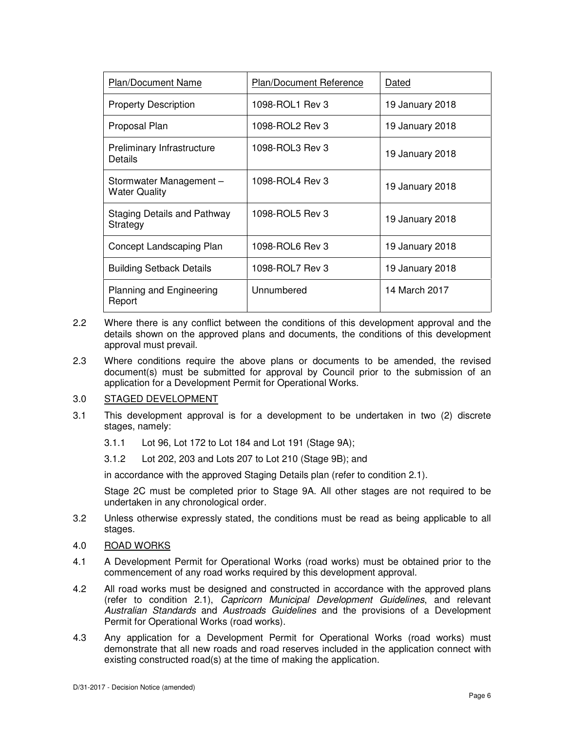| Plan/Document Name                             | Plan/Document Reference | Dated           |
|------------------------------------------------|-------------------------|-----------------|
| <b>Property Description</b>                    | 1098-ROL1 Rev 3         | 19 January 2018 |
| Proposal Plan                                  | 1098-ROL2 Rev 3         | 19 January 2018 |
| Preliminary Infrastructure<br>Details          | 1098-ROL3 Rev 3         | 19 January 2018 |
| Stormwater Management-<br><b>Water Quality</b> | 1098-ROL4 Rev 3         | 19 January 2018 |
| Staging Details and Pathway<br>Strategy        | 1098-ROL5 Rev 3         | 19 January 2018 |
| Concept Landscaping Plan                       | 1098-ROL6 Rev 3         | 19 January 2018 |
| <b>Building Setback Details</b>                | 1098-ROL7 Rev 3         | 19 January 2018 |
| <b>Planning and Engineering</b><br>Report      | Unnumbered              | 14 March 2017   |

- 2.2 Where there is any conflict between the conditions of this development approval and the details shown on the approved plans and documents, the conditions of this development approval must prevail.
- 2.3 Where conditions require the above plans or documents to be amended, the revised document(s) must be submitted for approval by Council prior to the submission of an application for a Development Permit for Operational Works.

# 3.0 STAGED DEVELOPMENT

- 3.1 This development approval is for a development to be undertaken in two (2) discrete stages, namely:
	- 3.1.1 Lot 96, Lot 172 to Lot 184 and Lot 191 (Stage 9A);
	- 3.1.2 Lot 202, 203 and Lots 207 to Lot 210 (Stage 9B); and

in accordance with the approved Staging Details plan (refer to condition 2.1).

Stage 2C must be completed prior to Stage 9A. All other stages are not required to be undertaken in any chronological order.

- 3.2 Unless otherwise expressly stated, the conditions must be read as being applicable to all stages.
- 4.0 ROAD WORKS
- 4.1 A Development Permit for Operational Works (road works) must be obtained prior to the commencement of any road works required by this development approval.
- 4.2 All road works must be designed and constructed in accordance with the approved plans (refer to condition 2.1), Capricorn Municipal Development Guidelines, and relevant Australian Standards and Austroads Guidelines and the provisions of a Development Permit for Operational Works (road works).
- 4.3 Any application for a Development Permit for Operational Works (road works) must demonstrate that all new roads and road reserves included in the application connect with existing constructed road(s) at the time of making the application.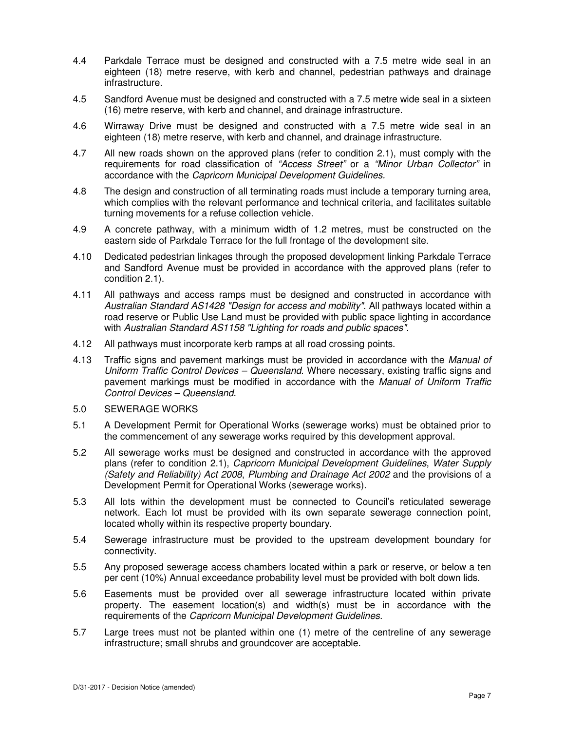- 4.4 Parkdale Terrace must be designed and constructed with a 7.5 metre wide seal in an eighteen (18) metre reserve, with kerb and channel, pedestrian pathways and drainage infrastructure.
- 4.5 Sandford Avenue must be designed and constructed with a 7.5 metre wide seal in a sixteen (16) metre reserve, with kerb and channel, and drainage infrastructure.
- 4.6 Wirraway Drive must be designed and constructed with a 7.5 metre wide seal in an eighteen (18) metre reserve, with kerb and channel, and drainage infrastructure.
- 4.7 All new roads shown on the approved plans (refer to condition 2.1), must comply with the requirements for road classification of "Access Street" or a "Minor Urban Collector" in accordance with the Capricorn Municipal Development Guidelines.
- 4.8 The design and construction of all terminating roads must include a temporary turning area, which complies with the relevant performance and technical criteria, and facilitates suitable turning movements for a refuse collection vehicle.
- 4.9 A concrete pathway, with a minimum width of 1.2 metres, must be constructed on the eastern side of Parkdale Terrace for the full frontage of the development site.
- 4.10 Dedicated pedestrian linkages through the proposed development linking Parkdale Terrace and Sandford Avenue must be provided in accordance with the approved plans (refer to condition 2.1).
- 4.11 All pathways and access ramps must be designed and constructed in accordance with Australian Standard AS1428 "Design for access and mobility". All pathways located within a road reserve or Public Use Land must be provided with public space lighting in accordance with Australian Standard AS1158 "Lighting for roads and public spaces".
- 4.12 All pathways must incorporate kerb ramps at all road crossing points.
- 4.13 Traffic signs and pavement markings must be provided in accordance with the Manual of Uniform Traffic Control Devices – Queensland. Where necessary, existing traffic signs and pavement markings must be modified in accordance with the Manual of Uniform Traffic Control Devices – Queensland.

#### 5.0 SEWERAGE WORKS

- 5.1 A Development Permit for Operational Works (sewerage works) must be obtained prior to the commencement of any sewerage works required by this development approval.
- 5.2 All sewerage works must be designed and constructed in accordance with the approved plans (refer to condition 2.1), Capricorn Municipal Development Guidelines, Water Supply (Safety and Reliability) Act 2008, Plumbing and Drainage Act 2002 and the provisions of a Development Permit for Operational Works (sewerage works).
- 5.3 All lots within the development must be connected to Council's reticulated sewerage network. Each lot must be provided with its own separate sewerage connection point, located wholly within its respective property boundary.
- 5.4 Sewerage infrastructure must be provided to the upstream development boundary for connectivity.
- 5.5 Any proposed sewerage access chambers located within a park or reserve, or below a ten per cent (10%) Annual exceedance probability level must be provided with bolt down lids.
- 5.6 Easements must be provided over all sewerage infrastructure located within private property. The easement location(s) and width(s) must be in accordance with the requirements of the Capricorn Municipal Development Guidelines.
- 5.7 Large trees must not be planted within one (1) metre of the centreline of any sewerage infrastructure; small shrubs and groundcover are acceptable.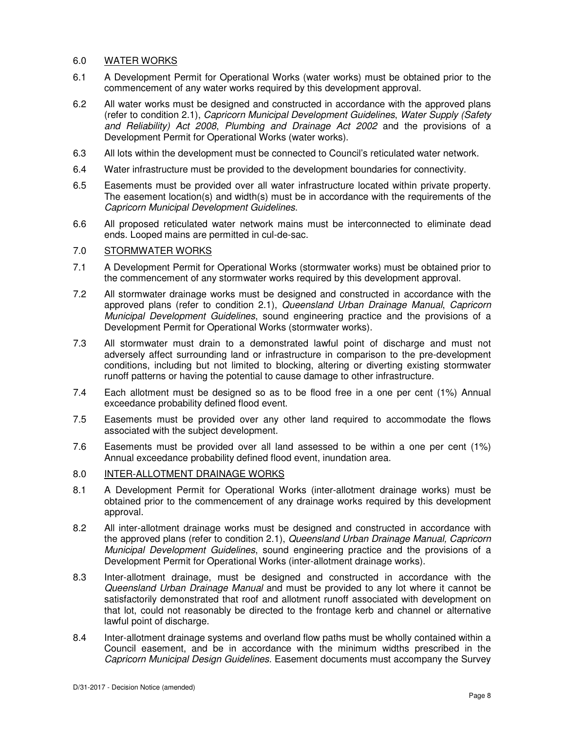# 6.0 WATER WORKS

- 6.1 A Development Permit for Operational Works (water works) must be obtained prior to the commencement of any water works required by this development approval.
- 6.2 All water works must be designed and constructed in accordance with the approved plans (refer to condition 2.1), Capricorn Municipal Development Guidelines, Water Supply (Safety and Reliability) Act 2008, Plumbing and Drainage Act 2002 and the provisions of a Development Permit for Operational Works (water works).
- 6.3 All lots within the development must be connected to Council's reticulated water network.
- 6.4 Water infrastructure must be provided to the development boundaries for connectivity.
- 6.5 Easements must be provided over all water infrastructure located within private property. The easement location(s) and width(s) must be in accordance with the requirements of the Capricorn Municipal Development Guidelines.
- 6.6 All proposed reticulated water network mains must be interconnected to eliminate dead ends. Looped mains are permitted in cul-de-sac.

# 7.0 STORMWATER WORKS

- 7.1 A Development Permit for Operational Works (stormwater works) must be obtained prior to the commencement of any stormwater works required by this development approval.
- 7.2 All stormwater drainage works must be designed and constructed in accordance with the approved plans (refer to condition 2.1), Queensland Urban Drainage Manual, Capricorn Municipal Development Guidelines, sound engineering practice and the provisions of a Development Permit for Operational Works (stormwater works).
- 7.3 All stormwater must drain to a demonstrated lawful point of discharge and must not adversely affect surrounding land or infrastructure in comparison to the pre-development conditions, including but not limited to blocking, altering or diverting existing stormwater runoff patterns or having the potential to cause damage to other infrastructure.
- 7.4 Each allotment must be designed so as to be flood free in a one per cent (1%) Annual exceedance probability defined flood event.
- 7.5 Easements must be provided over any other land required to accommodate the flows associated with the subject development.
- 7.6 Easements must be provided over all land assessed to be within a one per cent (1%) Annual exceedance probability defined flood event, inundation area.
- 8.0 INTER-ALLOTMENT DRAINAGE WORKS
- 8.1 A Development Permit for Operational Works (inter-allotment drainage works) must be obtained prior to the commencement of any drainage works required by this development approval.
- 8.2 All inter-allotment drainage works must be designed and constructed in accordance with the approved plans (refer to condition 2.1), Queensland Urban Drainage Manual, Capricorn Municipal Development Guidelines, sound engineering practice and the provisions of a Development Permit for Operational Works (inter-allotment drainage works).
- 8.3 Inter-allotment drainage, must be designed and constructed in accordance with the Queensland Urban Drainage Manual and must be provided to any lot where it cannot be satisfactorily demonstrated that roof and allotment runoff associated with development on that lot, could not reasonably be directed to the frontage kerb and channel or alternative lawful point of discharge.
- 8.4 Inter-allotment drainage systems and overland flow paths must be wholly contained within a Council easement, and be in accordance with the minimum widths prescribed in the Capricorn Municipal Design Guidelines. Easement documents must accompany the Survey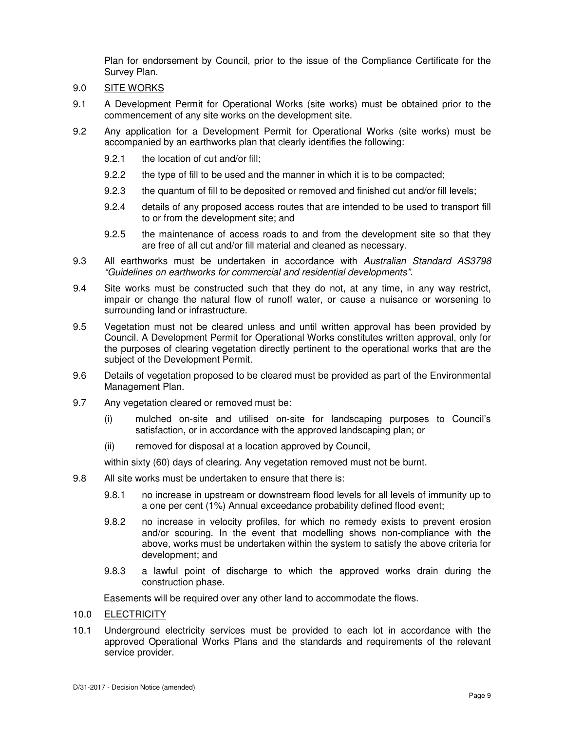Plan for endorsement by Council, prior to the issue of the Compliance Certificate for the Survey Plan.

- 9.0 SITE WORKS
- 9.1 A Development Permit for Operational Works (site works) must be obtained prior to the commencement of any site works on the development site.
- 9.2 Any application for a Development Permit for Operational Works (site works) must be accompanied by an earthworks plan that clearly identifies the following:
	- 9.2.1 the location of cut and/or fill;
	- 9.2.2 the type of fill to be used and the manner in which it is to be compacted;
	- 9.2.3 the quantum of fill to be deposited or removed and finished cut and/or fill levels;
	- 9.2.4 details of any proposed access routes that are intended to be used to transport fill to or from the development site; and
	- 9.2.5 the maintenance of access roads to and from the development site so that they are free of all cut and/or fill material and cleaned as necessary.
- 9.3 All earthworks must be undertaken in accordance with Australian Standard AS3798 "Guidelines on earthworks for commercial and residential developments".
- 9.4 Site works must be constructed such that they do not, at any time, in any way restrict, impair or change the natural flow of runoff water, or cause a nuisance or worsening to surrounding land or infrastructure.
- 9.5 Vegetation must not be cleared unless and until written approval has been provided by Council. A Development Permit for Operational Works constitutes written approval, only for the purposes of clearing vegetation directly pertinent to the operational works that are the subject of the Development Permit.
- 9.6 Details of vegetation proposed to be cleared must be provided as part of the Environmental Management Plan.
- 9.7 Any vegetation cleared or removed must be:
	- (i) mulched on-site and utilised on-site for landscaping purposes to Council's satisfaction, or in accordance with the approved landscaping plan; or
	- (ii) removed for disposal at a location approved by Council,

within sixty (60) days of clearing. Any vegetation removed must not be burnt.

- 9.8 All site works must be undertaken to ensure that there is:
	- 9.8.1 no increase in upstream or downstream flood levels for all levels of immunity up to a one per cent (1%) Annual exceedance probability defined flood event;
	- 9.8.2 no increase in velocity profiles, for which no remedy exists to prevent erosion and/or scouring. In the event that modelling shows non-compliance with the above, works must be undertaken within the system to satisfy the above criteria for development; and
	- 9.8.3 a lawful point of discharge to which the approved works drain during the construction phase.

Easements will be required over any other land to accommodate the flows.

- 10.0 ELECTRICITY
- 10.1 Underground electricity services must be provided to each lot in accordance with the approved Operational Works Plans and the standards and requirements of the relevant service provider.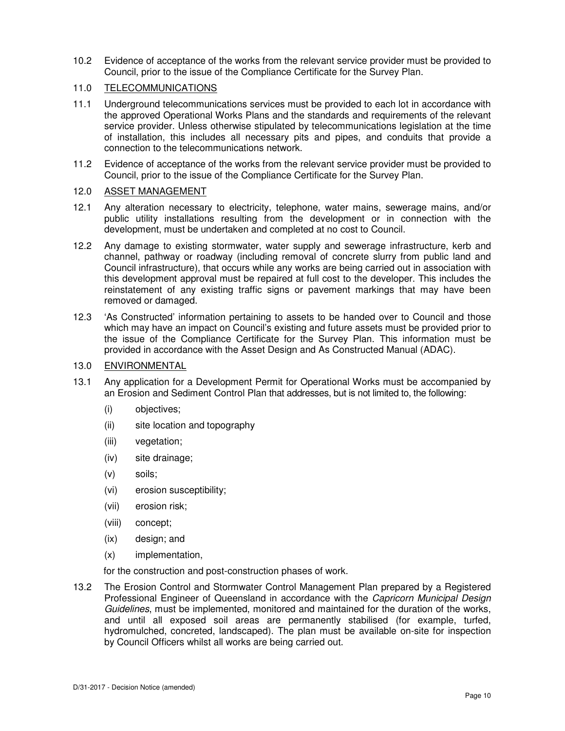10.2 Evidence of acceptance of the works from the relevant service provider must be provided to Council, prior to the issue of the Compliance Certificate for the Survey Plan.

### 11.0 TELECOMMUNICATIONS

- 11.1 Underground telecommunications services must be provided to each lot in accordance with the approved Operational Works Plans and the standards and requirements of the relevant service provider. Unless otherwise stipulated by telecommunications legislation at the time of installation, this includes all necessary pits and pipes, and conduits that provide a connection to the telecommunications network.
- 11.2 Evidence of acceptance of the works from the relevant service provider must be provided to Council, prior to the issue of the Compliance Certificate for the Survey Plan.

### 12.0 ASSET MANAGEMENT

- 12.1 Any alteration necessary to electricity, telephone, water mains, sewerage mains, and/or public utility installations resulting from the development or in connection with the development, must be undertaken and completed at no cost to Council.
- 12.2 Any damage to existing stormwater, water supply and sewerage infrastructure, kerb and channel, pathway or roadway (including removal of concrete slurry from public land and Council infrastructure), that occurs while any works are being carried out in association with this development approval must be repaired at full cost to the developer. This includes the reinstatement of any existing traffic signs or pavement markings that may have been removed or damaged.
- 12.3 'As Constructed' information pertaining to assets to be handed over to Council and those which may have an impact on Council's existing and future assets must be provided prior to the issue of the Compliance Certificate for the Survey Plan. This information must be provided in accordance with the Asset Design and As Constructed Manual (ADAC).

# 13.0 ENVIRONMENTAL

- 13.1 Any application for a Development Permit for Operational Works must be accompanied by an Erosion and Sediment Control Plan that addresses, but is not limited to, the following:
	- (i) objectives;
	- (ii) site location and topography
	- (iii) vegetation;
	- (iv) site drainage;
	- (v) soils;
	- (vi) erosion susceptibility;
	- (vii) erosion risk;
	- (viii) concept;
	- (ix) design; and
	- (x) implementation,

for the construction and post-construction phases of work.

13.2 The Erosion Control and Stormwater Control Management Plan prepared by a Registered Professional Engineer of Queensland in accordance with the Capricorn Municipal Design Guidelines, must be implemented, monitored and maintained for the duration of the works, and until all exposed soil areas are permanently stabilised (for example, turfed, hydromulched, concreted, landscaped). The plan must be available on-site for inspection by Council Officers whilst all works are being carried out.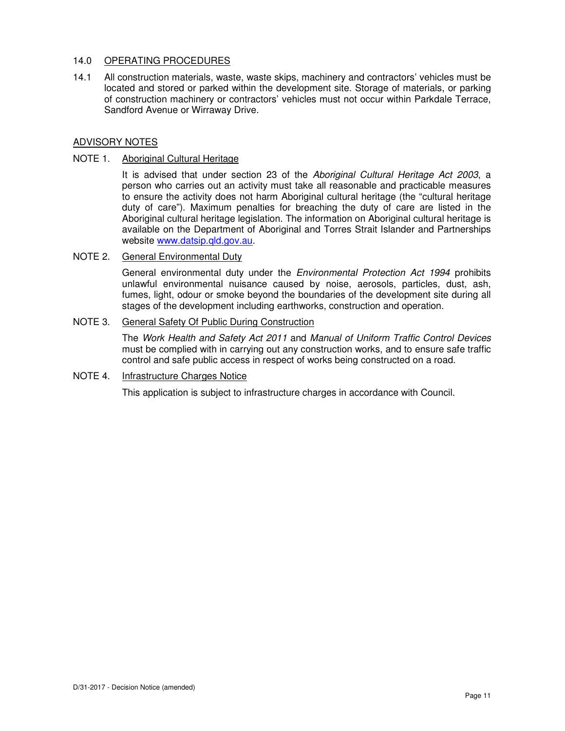# 14.0 OPERATING PROCEDURES

14.1 All construction materials, waste, waste skips, machinery and contractors' vehicles must be located and stored or parked within the development site. Storage of materials, or parking of construction machinery or contractors' vehicles must not occur within Parkdale Terrace, Sandford Avenue or Wirraway Drive.

### ADVISORY NOTES

#### NOTE 1. Aboriginal Cultural Heritage

It is advised that under section 23 of the Aboriginal Cultural Heritage Act 2003, a person who carries out an activity must take all reasonable and practicable measures to ensure the activity does not harm Aboriginal cultural heritage (the "cultural heritage duty of care"). Maximum penalties for breaching the duty of care are listed in the Aboriginal cultural heritage legislation. The information on Aboriginal cultural heritage is available on the Department of Aboriginal and Torres Strait Islander and Partnerships website www.datsip.qld.gov.au.

#### NOTE 2. General Environmental Duty

General environmental duty under the *Environmental Protection Act 1994* prohibits unlawful environmental nuisance caused by noise, aerosols, particles, dust, ash, fumes, light, odour or smoke beyond the boundaries of the development site during all stages of the development including earthworks, construction and operation.

# NOTE 3. General Safety Of Public During Construction

The Work Health and Safety Act 2011 and Manual of Uniform Traffic Control Devices must be complied with in carrying out any construction works, and to ensure safe traffic control and safe public access in respect of works being constructed on a road.

# NOTE 4. Infrastructure Charges Notice

This application is subject to infrastructure charges in accordance with Council.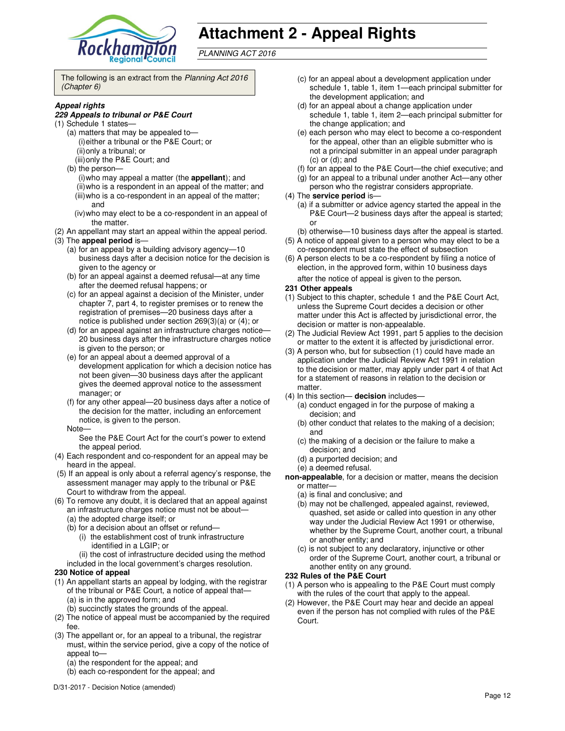

# **Attachment 2 - Appeal Rights**

PLANNING ACT 2016

The following is an extract from the Planning Act 2016 (Chapter 6)

#### **Appeal rights**

#### **229 Appeals to tribunal or P&E Court**

- (1) Schedule 1 states—
	- (a) matters that may be appealed to— (i) either a tribunal or the P&E Court; or (ii) only a tribunal; or (iii) only the P&E Court; and
	- (b) the person—
		- (i) who may appeal a matter (the **appellant**); and (ii) who is a respondent in an appeal of the matter; and (iii) who is a co-respondent in an appeal of the matter; and
		- (iv) who may elect to be a co-respondent in an appeal of the matter.
- (2) An appellant may start an appeal within the appeal period.
- (3) The **appeal period** is—
	- (a) for an appeal by a building advisory agency—10 business days after a decision notice for the decision is given to the agency or
	- (b) for an appeal against a deemed refusal—at any time after the deemed refusal happens; or
	- (c) for an appeal against a decision of the Minister, under chapter 7, part 4, to register premises or to renew the registration of premises—20 business days after a notice is published under section 269(3)(a) or (4); or
	- (d) for an appeal against an infrastructure charges notice— 20 business days after the infrastructure charges notice is given to the person; or
	- (e) for an appeal about a deemed approval of a development application for which a decision notice has not been given—30 business days after the applicant gives the deemed approval notice to the assessment manager; or
	- (f) for any other appeal—20 business days after a notice of the decision for the matter, including an enforcement notice, is given to the person.
	- Note—

See the P&E Court Act for the court's power to extend the appeal period.

- (4) Each respondent and co-respondent for an appeal may be heard in the appeal.
- (5) If an appeal is only about a referral agency's response, the assessment manager may apply to the tribunal or P&E Court to withdraw from the appeal.
- (6) To remove any doubt, it is declared that an appeal against an infrastructure charges notice must not be about—
	- (a) the adopted charge itself; or
	- (b) for a decision about an offset or refund—
		- (i) the establishment cost of trunk infrastructure identified in a LGIP; or
	- (ii) the cost of infrastructure decided using the method included in the local government's charges resolution.

#### **230 Notice of appeal**

- (1) An appellant starts an appeal by lodging, with the registrar of the tribunal or P&E Court, a notice of appeal that— (a) is in the approved form; and
	- (b) succinctly states the grounds of the appeal.
- (2) The notice of appeal must be accompanied by the required fee.
- (3) The appellant or, for an appeal to a tribunal, the registrar must, within the service period, give a copy of the notice of appeal to-
	- (a) the respondent for the appeal; and
	- (b) each co-respondent for the appeal; and
- (c) for an appeal about a development application under schedule 1, table 1, item 1—each principal submitter for the development application; and
- (d) for an appeal about a change application under schedule 1, table 1, item 2—each principal submitter for the change application; and
- (e) each person who may elect to become a co-respondent for the appeal, other than an eligible submitter who is not a principal submitter in an appeal under paragraph (c) or (d); and
- (f) for an appeal to the P&E Court—the chief executive; and
- (g) for an appeal to a tribunal under another Act—any other
- person who the registrar considers appropriate.

#### (4) The **service period** is—

- (a) if a submitter or advice agency started the appeal in the P&E Court-2 business days after the appeal is started; or
- (b) otherwise—10 business days after the appeal is started.
- (5) A notice of appeal given to a person who may elect to be a co-respondent must state the effect of subsection
- (6) A person elects to be a co-respondent by filing a notice of election, in the approved form, within 10 business days after the notice of appeal is given to the person*.*

#### **231 Other appeals**

- (1) Subject to this chapter, schedule 1 and the P&E Court Act, unless the Supreme Court decides a decision or other matter under this Act is affected by jurisdictional error, the decision or matter is non-appealable.
- (2) The Judicial Review Act 1991, part 5 applies to the decision or matter to the extent it is affected by jurisdictional error.
- (3) A person who, but for subsection (1) could have made an application under the Judicial Review Act 1991 in relation to the decision or matter, may apply under part 4 of that Act for a statement of reasons in relation to the decision or matter.
- (4) In this section— **decision** includes—
	- (a) conduct engaged in for the purpose of making a decision; and
	- (b) other conduct that relates to the making of a decision; and
	- (c) the making of a decision or the failure to make a decision; and
	- (d) a purported decision; and
	- (e) a deemed refusal.
- **non-appealable**, for a decision or matter, means the decision or matter—
	- (a) is final and conclusive; and
	- (b) may not be challenged, appealed against, reviewed, quashed, set aside or called into question in any other way under the Judicial Review Act 1991 or otherwise, whether by the Supreme Court, another court, a tribunal or another entity; and
	- (c) is not subject to any declaratory, injunctive or other order of the Supreme Court, another court, a tribunal or another entity on any ground.

#### **232 Rules of the P&E Court**

- (1) A person who is appealing to the P&E Court must comply with the rules of the court that apply to the appeal.
- (2) However, the P&E Court may hear and decide an appeal even if the person has not complied with rules of the P&E Court.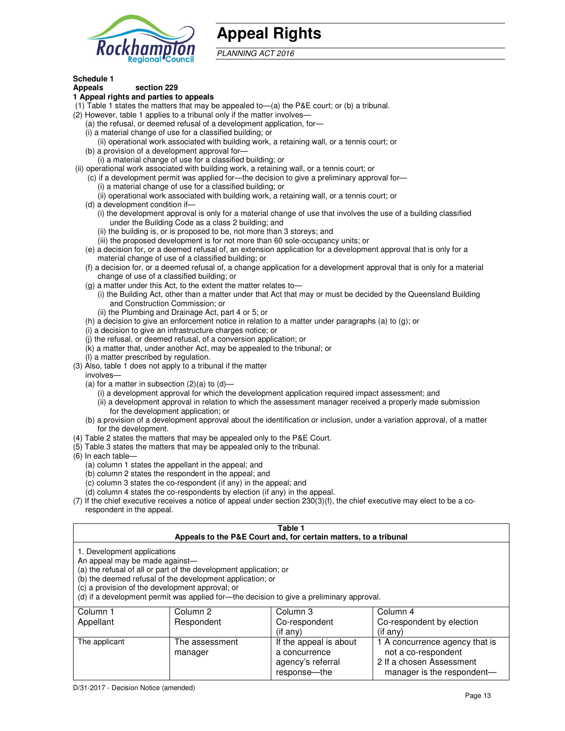

# **Appeal Rights**

PLANNING ACT 2016

# **Schedule 1**

#### **Appeals section 229 1 Appeal rights and parties to appeals**

- (1) Table 1 states the matters that may be appealed to—(a) the P&E court; or (b) a tribunal.
- (2) However, table 1 applies to a tribunal only if the matter involves—
	- (a) the refusal, or deemed refusal of a development application, for—
	- (i) a material change of use for a classified building; or
	- (ii) operational work associated with building work, a retaining wall, or a tennis court; or (b) a provision of a development approval for—
	- (i) a material change of use for a classified building; or
- (ii) operational work associated with building work, a retaining wall, or a tennis court; or
	- (c) if a development permit was applied for—the decision to give a preliminary approval for—
		- (i) a material change of use for a classified building; or
		- (ii) operational work associated with building work, a retaining wall, or a tennis court; or
	- (d) a development condition if—
		- (i) the development approval is only for a material change of use that involves the use of a building classified under the Building Code as a class 2 building; and
		- (ii) the building is, or is proposed to be, not more than 3 storeys; and
		- (iii) the proposed development is for not more than 60 sole-occupancy units; or
	- (e) a decision for, or a deemed refusal of, an extension application for a development approval that is only for a material change of use of a classified building; or
	- (f) a decision for, or a deemed refusal of, a change application for a development approval that is only for a material change of use of a classified building; or
	- (g) a matter under this Act, to the extent the matter relates to—
		- (i) the Building Act, other than a matter under that Act that may or must be decided by the Queensland Building and Construction Commission; or
		- (ii) the Plumbing and Drainage Act, part 4 or 5; or
	- (h) a decision to give an enforcement notice in relation to a matter under paragraphs (a) to (g); or
	- (i) a decision to give an infrastructure charges notice; or
	- (j) the refusal, or deemed refusal, of a conversion application; or
	- (k) a matter that, under another Act, may be appealed to the tribunal; or
	- (l) a matter prescribed by regulation.
- (3) Also, table 1 does not apply to a tribunal if the matter
- involves—
	- (a) for a matter in subsection  $(2)(a)$  to  $(d)$ 
		- (i) a development approval for which the development application required impact assessment; and
		- (ii) a development approval in relation to which the assessment manager received a properly made submission for the development application; or
	- (b) a provision of a development approval about the identification or inclusion, under a variation approval, of a matter for the development.
- (4) Table 2 states the matters that may be appealed only to the P&E Court.
- (5) Table 3 states the matters that may be appealed only to the tribunal.
- (6) In each table—
	- (a) column 1 states the appellant in the appeal; and
	- (b) column 2 states the respondent in the appeal; and
	- (c) column 3 states the co-respondent (if any) in the appeal; and
	- (d) column 4 states the co-respondents by election (if any) in the appeal.
- (7) If the chief executive receives a notice of appeal under section 230(3)(f), the chief executive may elect to be a corespondent in the appeal.

| Table 1<br>Appeals to the P&E Court and, for certain matters, to a tribunal                                                                                                                                                                                                                                                                    |                           |                                                              |                                                                                   |  |
|------------------------------------------------------------------------------------------------------------------------------------------------------------------------------------------------------------------------------------------------------------------------------------------------------------------------------------------------|---------------------------|--------------------------------------------------------------|-----------------------------------------------------------------------------------|--|
| 1. Development applications<br>An appeal may be made against-<br>(a) the refusal of all or part of the development application; or<br>(b) the deemed refusal of the development application; or<br>(c) a provision of the development approval; or<br>(d) if a development permit was applied for-the decision to give a preliminary approval. |                           |                                                              |                                                                                   |  |
| Column 1                                                                                                                                                                                                                                                                                                                                       | Column 2                  | Column 3                                                     | Column 4                                                                          |  |
| Appellant                                                                                                                                                                                                                                                                                                                                      | Respondent                | Co-respondent<br>$($ if any $)$                              | Co-respondent by election<br>(i f any)                                            |  |
| The applicant                                                                                                                                                                                                                                                                                                                                  | The assessment<br>manager | If the appeal is about<br>a concurrence<br>agency's referral | 1 A concurrence agency that is<br>not a co-respondent<br>2 If a chosen Assessment |  |

response—the

manager is the respondent-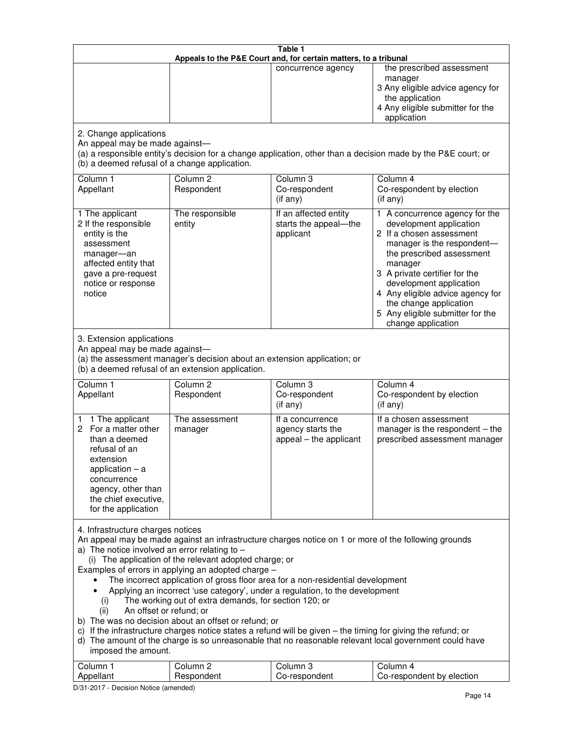| Table 1<br>Appeals to the P&E Court and, for certain matters, to a tribunal                                                                                                                                                                                                                                                                                                                                                                                                                                                                                                                                                                                                                                                                                                                                                                                                                                                                            |                                   |                                                                 |                                                                                                                                                                                                                                                                                                                                                 |  |
|--------------------------------------------------------------------------------------------------------------------------------------------------------------------------------------------------------------------------------------------------------------------------------------------------------------------------------------------------------------------------------------------------------------------------------------------------------------------------------------------------------------------------------------------------------------------------------------------------------------------------------------------------------------------------------------------------------------------------------------------------------------------------------------------------------------------------------------------------------------------------------------------------------------------------------------------------------|-----------------------------------|-----------------------------------------------------------------|-------------------------------------------------------------------------------------------------------------------------------------------------------------------------------------------------------------------------------------------------------------------------------------------------------------------------------------------------|--|
|                                                                                                                                                                                                                                                                                                                                                                                                                                                                                                                                                                                                                                                                                                                                                                                                                                                                                                                                                        |                                   | concurrence agency                                              | the prescribed assessment<br>manager<br>3 Any eligible advice agency for<br>the application<br>4 Any eligible submitter for the<br>application                                                                                                                                                                                                  |  |
| 2. Change applications<br>An appeal may be made against-<br>(b) a deemed refusal of a change application.                                                                                                                                                                                                                                                                                                                                                                                                                                                                                                                                                                                                                                                                                                                                                                                                                                              |                                   |                                                                 | (a) a responsible entity's decision for a change application, other than a decision made by the P&E court; or                                                                                                                                                                                                                                   |  |
| Column 1<br>Appellant                                                                                                                                                                                                                                                                                                                                                                                                                                                                                                                                                                                                                                                                                                                                                                                                                                                                                                                                  | Column <sub>2</sub><br>Respondent | Column 3<br>Co-respondent<br>(if any)                           | Column 4<br>Co-respondent by election<br>(if any)                                                                                                                                                                                                                                                                                               |  |
| 1 The applicant<br>2 If the responsible<br>entity is the<br>assessment<br>manager-an<br>affected entity that<br>gave a pre-request<br>notice or response<br>notice                                                                                                                                                                                                                                                                                                                                                                                                                                                                                                                                                                                                                                                                                                                                                                                     | The responsible<br>entity         | If an affected entity<br>starts the appeal-the<br>applicant     | 1 A concurrence agency for the<br>development application<br>2 If a chosen assessment<br>manager is the respondent-<br>the prescribed assessment<br>manager<br>3 A private certifier for the<br>development application<br>4 Any eligible advice agency for<br>the change application<br>5 Any eligible submitter for the<br>change application |  |
| 3. Extension applications<br>An appeal may be made against-<br>(a) the assessment manager's decision about an extension application; or<br>(b) a deemed refusal of an extension application.                                                                                                                                                                                                                                                                                                                                                                                                                                                                                                                                                                                                                                                                                                                                                           |                                   |                                                                 |                                                                                                                                                                                                                                                                                                                                                 |  |
| Column 1<br>Appellant                                                                                                                                                                                                                                                                                                                                                                                                                                                                                                                                                                                                                                                                                                                                                                                                                                                                                                                                  | Column <sub>2</sub><br>Respondent | Column 3<br>Co-respondent<br>(if any)                           | Column 4<br>Co-respondent by election<br>(if any)                                                                                                                                                                                                                                                                                               |  |
| 1 The applicant<br>1<br>For a matter other<br>2.<br>than a deemed<br>refusal of an<br>extension<br>application $-$ a<br>concurrence<br>agency, other than<br>the chief executive,<br>for the application                                                                                                                                                                                                                                                                                                                                                                                                                                                                                                                                                                                                                                                                                                                                               | The assessment<br>manager         | If a concurrence<br>agency starts the<br>appeal - the applicant | If a chosen assessment<br>manager is the respondent - the<br>prescribed assessment manager                                                                                                                                                                                                                                                      |  |
| 4. Infrastructure charges notices<br>An appeal may be made against an infrastructure charges notice on 1 or more of the following grounds<br>a) The notice involved an error relating to $-$<br>(i) The application of the relevant adopted charge; or<br>Examples of errors in applying an adopted charge -<br>The incorrect application of gross floor area for a non-residential development<br>Applying an incorrect 'use category', under a regulation, to the development<br>The working out of extra demands, for section 120; or<br>(i)<br>An offset or refund; or<br>(ii)<br>b) The was no decision about an offset or refund; or<br>c) If the infrastructure charges notice states a refund will be given - the timing for giving the refund; or<br>d) The amount of the charge is so unreasonable that no reasonable relevant local government could have<br>imposed the amount.<br>Column <sub>2</sub><br>Column 3<br>Column 1<br>Column 4 |                                   |                                                                 |                                                                                                                                                                                                                                                                                                                                                 |  |
| Appellant                                                                                                                                                                                                                                                                                                                                                                                                                                                                                                                                                                                                                                                                                                                                                                                                                                                                                                                                              | Respondent                        | Co-respondent                                                   | Co-respondent by election                                                                                                                                                                                                                                                                                                                       |  |

D/31-2017 - Decision Notice (amended)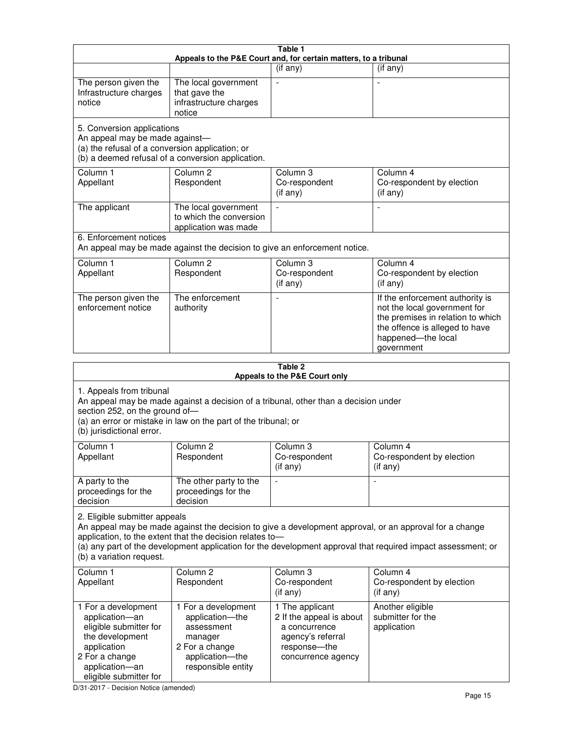| Table 1<br>Appeals to the P&E Court and, for certain matters, to a tribunal                                                                                                                                                                                                                                                                     |                                                                                                                            |                                                                                                                         |                                                                                                                                                                            |  |
|-------------------------------------------------------------------------------------------------------------------------------------------------------------------------------------------------------------------------------------------------------------------------------------------------------------------------------------------------|----------------------------------------------------------------------------------------------------------------------------|-------------------------------------------------------------------------------------------------------------------------|----------------------------------------------------------------------------------------------------------------------------------------------------------------------------|--|
|                                                                                                                                                                                                                                                                                                                                                 |                                                                                                                            | (if any)                                                                                                                | $($ if any $)$                                                                                                                                                             |  |
| The person given the<br>Infrastructure charges<br>notice                                                                                                                                                                                                                                                                                        | The local government<br>that gave the<br>infrastructure charges<br>notice                                                  | $\blacksquare$                                                                                                          |                                                                                                                                                                            |  |
| 5. Conversion applications<br>An appeal may be made against-<br>(a) the refusal of a conversion application; or<br>(b) a deemed refusal of a conversion application.                                                                                                                                                                            |                                                                                                                            |                                                                                                                         |                                                                                                                                                                            |  |
| Column 1<br>Appellant                                                                                                                                                                                                                                                                                                                           | Column <sub>2</sub><br>Respondent                                                                                          | Column 3<br>Co-respondent<br>(if any)                                                                                   | Column 4<br>Co-respondent by election<br>(if any)                                                                                                                          |  |
| The applicant                                                                                                                                                                                                                                                                                                                                   | The local government<br>to which the conversion<br>application was made                                                    | $\blacksquare$                                                                                                          | $\overline{\phantom{a}}$                                                                                                                                                   |  |
| 6. Enforcement notices                                                                                                                                                                                                                                                                                                                          |                                                                                                                            | An appeal may be made against the decision to give an enforcement notice.                                               |                                                                                                                                                                            |  |
| Column 1<br>Appellant                                                                                                                                                                                                                                                                                                                           | Column <sub>2</sub><br>Respondent                                                                                          | Column 3<br>Co-respondent<br>(if any)                                                                                   | Column 4<br>Co-respondent by election<br>(if any)                                                                                                                          |  |
| The person given the<br>enforcement notice                                                                                                                                                                                                                                                                                                      | The enforcement<br>authority                                                                                               |                                                                                                                         | If the enforcement authority is<br>not the local government for<br>the premises in relation to which<br>the offence is alleged to have<br>happened-the local<br>government |  |
| Table 2<br>Appeals to the P&E Court only                                                                                                                                                                                                                                                                                                        |                                                                                                                            |                                                                                                                         |                                                                                                                                                                            |  |
| 1. Appeals from tribunal<br>An appeal may be made against a decision of a tribunal, other than a decision under<br>section 252, on the ground of-<br>(a) an error or mistake in law on the part of the tribunal; or<br>(b) jurisdictional error.                                                                                                |                                                                                                                            |                                                                                                                         |                                                                                                                                                                            |  |
| Column 1<br>Appellant                                                                                                                                                                                                                                                                                                                           | Column 2<br>Respondent                                                                                                     | Column 3<br>Co-respondent<br>$($ if any $)$                                                                             | Column 4<br>Co-respondent by election<br>(i f any)                                                                                                                         |  |
| A party to the<br>proceedings for the<br>decision                                                                                                                                                                                                                                                                                               | The other party to the<br>proceedings for the<br>decision                                                                  | $\qquad \qquad \blacksquare$                                                                                            |                                                                                                                                                                            |  |
| 2. Eligible submitter appeals<br>An appeal may be made against the decision to give a development approval, or an approval for a change<br>application, to the extent that the decision relates to-<br>(a) any part of the development application for the development approval that required impact assessment; or<br>(b) a variation request. |                                                                                                                            |                                                                                                                         |                                                                                                                                                                            |  |
| Column 1<br>Appellant                                                                                                                                                                                                                                                                                                                           | Column 2<br>Respondent                                                                                                     | Column 3<br>Co-respondent<br>$($ if any $)$                                                                             | Column 4<br>Co-respondent by election<br>(if any)                                                                                                                          |  |
| 1 For a development<br>application-an<br>eligible submitter for<br>the development<br>application<br>2 For a change<br>application-an                                                                                                                                                                                                           | 1 For a development<br>application-the<br>assessment<br>manager<br>2 For a change<br>application-the<br>responsible entity | 1 The applicant<br>2 If the appeal is about<br>a concurrence<br>agency's referral<br>response-the<br>concurrence agency | Another eligible<br>submitter for the<br>application                                                                                                                       |  |

D/31-2017 - Decision Notice (amended)

eligible submitter for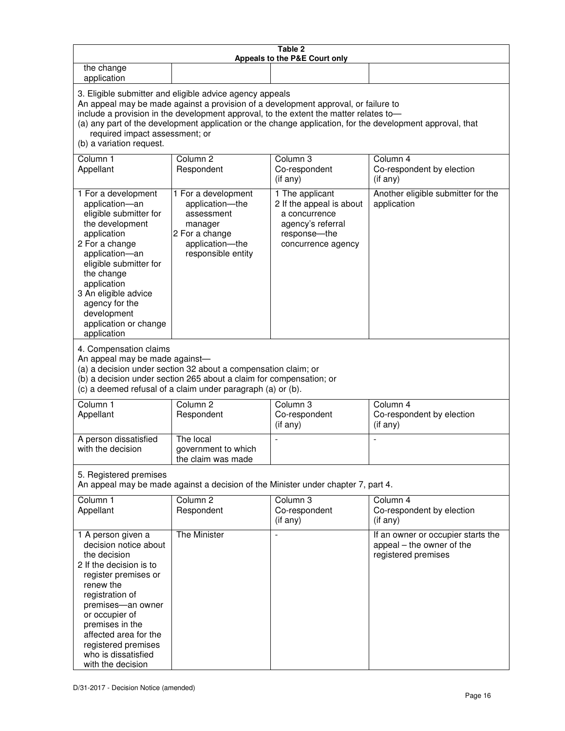| Table 2<br>Appeals to the P&E Court only                                                                                                                                                                                                                                                                                                                                                                           |                                                                                                                            |                                                                                                                         |                                                                                        |  |
|--------------------------------------------------------------------------------------------------------------------------------------------------------------------------------------------------------------------------------------------------------------------------------------------------------------------------------------------------------------------------------------------------------------------|----------------------------------------------------------------------------------------------------------------------------|-------------------------------------------------------------------------------------------------------------------------|----------------------------------------------------------------------------------------|--|
| the change<br>application                                                                                                                                                                                                                                                                                                                                                                                          |                                                                                                                            |                                                                                                                         |                                                                                        |  |
| 3. Eligible submitter and eligible advice agency appeals<br>An appeal may be made against a provision of a development approval, or failure to<br>include a provision in the development approval, to the extent the matter relates to-<br>(a) any part of the development application or the change application, for the development approval, that<br>required impact assessment; or<br>(b) a variation request. |                                                                                                                            |                                                                                                                         |                                                                                        |  |
| Column 1<br>Appellant                                                                                                                                                                                                                                                                                                                                                                                              | Column <sub>2</sub><br>Respondent                                                                                          | Column 3<br>Co-respondent<br>(if any)                                                                                   | Column 4<br>Co-respondent by election<br>(if any)                                      |  |
| 1 For a development<br>application-an<br>eligible submitter for<br>the development<br>application<br>2 For a change<br>application-an<br>eligible submitter for<br>the change<br>application<br>3 An eligible advice<br>agency for the<br>development<br>application or change<br>application                                                                                                                      | 1 For a development<br>application-the<br>assessment<br>manager<br>2 For a change<br>application-the<br>responsible entity | 1 The applicant<br>2 If the appeal is about<br>a concurrence<br>agency's referral<br>response-the<br>concurrence agency | Another eligible submitter for the<br>application                                      |  |
| 4. Compensation claims<br>An appeal may be made against-<br>(a) a decision under section 32 about a compensation claim; or<br>(b) a decision under section 265 about a claim for compensation; or<br>(c) a deemed refusal of a claim under paragraph (a) or (b).                                                                                                                                                   |                                                                                                                            |                                                                                                                         |                                                                                        |  |
| Column <sub>1</sub><br>Appellant                                                                                                                                                                                                                                                                                                                                                                                   | Column <sub>2</sub><br>Respondent                                                                                          | Column 3<br>Co-respondent<br>(if any)                                                                                   | Column 4<br>Co-respondent by election<br>(if any)                                      |  |
| A person dissatisfied<br>with the decision                                                                                                                                                                                                                                                                                                                                                                         | The local<br>government to which<br>the claim was made                                                                     | ÷,                                                                                                                      | $\overline{a}$                                                                         |  |
| 5. Registered premises<br>An appeal may be made against a decision of the Minister under chapter 7, part 4.                                                                                                                                                                                                                                                                                                        |                                                                                                                            |                                                                                                                         |                                                                                        |  |
| Column <sub>1</sub><br>Appellant                                                                                                                                                                                                                                                                                                                                                                                   | Column <sub>2</sub><br>Respondent                                                                                          | Column <sub>3</sub><br>Co-respondent<br>(if any)                                                                        | Column 4<br>Co-respondent by election<br>(if any)                                      |  |
| 1 A person given a<br>decision notice about<br>the decision<br>2 If the decision is to<br>register premises or<br>renew the<br>registration of<br>premises-an owner<br>or occupier of<br>premises in the<br>affected area for the<br>registered premises<br>who is dissatisfied<br>with the decision                                                                                                               | The Minister                                                                                                               |                                                                                                                         | If an owner or occupier starts the<br>appeal - the owner of the<br>registered premises |  |